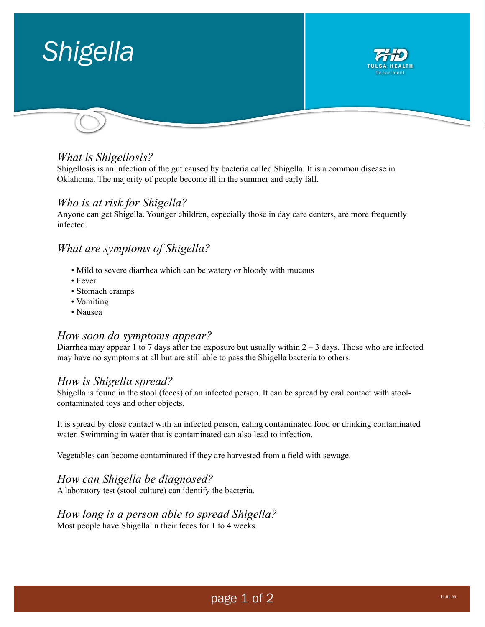

# *What is Shigellosis?*

Shigellosis is an infection of the gut caused by bacteria called Shigella. It is a common disease in Oklahoma. The majority of people become ill in the summer and early fall.

### *Who is at risk for Shigella?*

Anyone can get Shigella. Younger children, especially those in day care centers, are more frequently infected.

# *What are symptoms of Shigella?*

- Mild to severe diarrhea which can be watery or bloody with mucous
- Fever
- Stomach cramps
- Vomiting
- Nausea

### *How soon do symptoms appear?*

Diarrhea may appear 1 to 7 days after the exposure but usually within  $2 - 3$  days. Those who are infected may have no symptoms at all but are still able to pass the Shigella bacteria to others.

### *How is Shigella spread?*

Shigella is found in the stool (feces) of an infected person. It can be spread by oral contact with stoolcontaminated toys and other objects.

It is spread by close contact with an infected person, eating contaminated food or drinking contaminated water. Swimming in water that is contaminated can also lead to infection.

Vegetables can become contaminated if they are harvested from a field with sewage.

### *How can Shigella be diagnosed?*

A laboratory test (stool culture) can identify the bacteria.

#### *How long is a person able to spread Shigella?*  Most people have Shigella in their feces for 1 to 4 weeks.